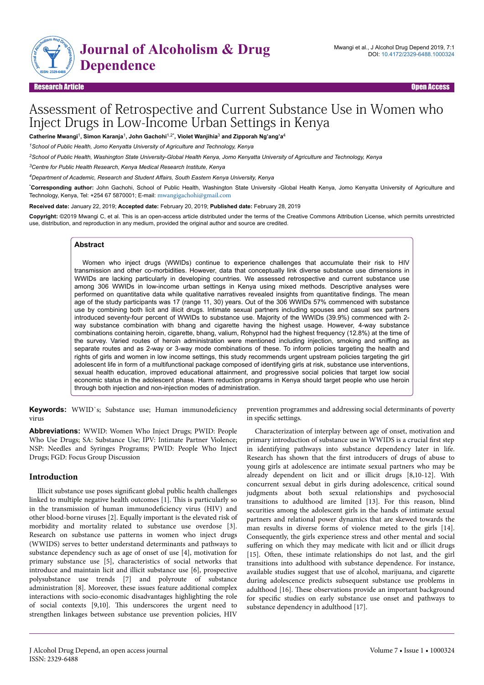

## Research Article Open Access

# Assessment of Retrospective and Current Substance Use in Women who Inject Drugs in Low-Income Urban Settings in Kenya

**Catherine Mwangi**<sup>1</sup> **, Simon Karanja**<sup>1</sup> **, John Gachohi**1,2\***, Violet Wanjihia**<sup>3</sup>  **and Zipporah Ng'ang'a**<sup>4</sup>

*<sup>1</sup>School of Public Health, Jomo Kenyatta University of Agriculture and Technology, Kenya*

*<sup>2</sup>School of Public Health, Washington State University-Global Health Kenya, Jomo Kenyatta University of Agriculture and Technology, Kenya*

*<sup>3</sup>Centre for Public Health Research, Kenya Medical Research Institute, Kenya*

*<sup>4</sup>Department of Academic, Research and Student Affairs, South Eastern Kenya University, Kenya*

\***Corresponding author:** John Gachohi, School of Public Health, Washington State University -Global Health Kenya, Jomo Kenyatta University of Agriculture and Technology, Kenya, Tel: +254 67 5870001; E-mail: [mwangigachohi@gmail.com](mailto:mwangigachohi@gmail.com)

**Received date:** January 22, 2019; **Accepted date:** February 20, 2019; **Published date:** February 28, 2019

**Copyright:** ©2019 Mwangi C, et al. This is an open-access article distributed under the terms of the Creative Commons Attribution License, which permits unrestricted use, distribution, and reproduction in any medium, provided the original author and source are credited.

## **Abstract**

Women who inject drugs (WWIDs) continue to experience challenges that accumulate their risk to HIV transmission and other co-morbidities. However, data that conceptually link diverse substance use dimensions in WWIDs are lacking particularly in developing countries. We assessed retrospective and current substance use among 306 WWIDs in low-income urban settings in Kenya using mixed methods. Descriptive analyses were performed on quantitative data while qualitative narratives revealed insights from quantitative findings. The mean age of the study participants was 17 (range 11, 30) years. Out of the 306 WWIDs 57% commenced with substance use by combining both licit and illicit drugs. Intimate sexual partners including spouses and casual sex partners introduced seventy-four percent of WWIDs to substance use. Majority of the WWIDs (39.9%) commenced with 2 way substance combination with bhang and cigarette having the highest usage. However, 4-way substance combinations containing heroin, cigarette, bhang, valium, Rohypnol had the highest frequency (12.8%) at the time of the survey. Varied routes of heroin administration were mentioned including injection, smoking and sniffing as separate routes and as 2-way or 3-way mode combinations of these. To inform policies targeting the health and rights of girls and women in low income settings, this study recommends urgent upstream policies targeting the girl adolescent life in form of a multifunctional package composed of identifying girls at risk, substance use interventions, sexual health education, improved educational attainment, and progressive social policies that target low social economic status in the adolescent phase. Harm reduction programs in Kenya should target people who use heroin through both injection and non-injection modes of administration.

**Keywords:** WWID's; Substance use; Human immunodeficiency virus

**Abbreviations:** WWID: Women Who Inject Drugs; PWID: People Who Use Drugs; SA: Substance Use; IPV: Intimate Partner Violence; NSP: Needles and Syringes Programs; PWID: People Who Inject Drugs; FGD: Focus Group Discussion

#### **Introduction**

Illicit substance use poses significant global public health challenges linked to multiple negative health outcomes [1]. Нis is particularly so in the transmission of human immunodeficiency virus (HIV) and other blood-borne viruses [2]. Equally important is the elevated risk of morbidity and mortality related to substance use overdose [3]. Research on substance use patterns in women who inject drugs (WWIDS) serves to better understand determinants and pathways to substance dependency such as age of onset of use [4], motivation for primary substance use [5], characteristics of social networks that introduce and maintain licit and illicit substance use [6], prospective polysubstance use trends [7] and polyroute of substance administration [8]. Moreover, these issues feature additional complex interactions with socio-economic disadvantages highlighting the role of social contexts [9,10]. Нis underscores the urgent need to strengthen linkages between substance use prevention policies, HIV

prevention programmes and addressing social determinants of poverty in specific settings.

Characterization of interplay between age of onset, motivation and primary introduction of substance use in WWIDS is a crucial first step in identifying pathways into substance dependency later in life. Research has shown that the first introducers of drugs of abuse to young girls at adolescence are intimate sexual partners who may be already dependent on licit and or illicit drugs [8,10-12]. With concurrent sexual debut in girls during adolescence, critical sound judgments about both sexual relationships and psychosocial transitions to adulthood are limited [13]. For this reason, blind securities among the adolescent girls in the hands of intimate sexual partners and relational power dynamics that are skewed towards the man results in diverse forms of violence meted to the girls [14]. Consequently, the girls experience stress and other mental and social suffering on which they may medicate with licit and or illicit drugs [15]. Often, these intimate relationships do not last, and the girl transitions into adulthood with substance dependence. For instance, available studies suggest that use of alcohol, marijuana, and cigarette during adolescence predicts subsequent substance use problems in adulthood [16]. Нese observations provide an important background for specific studies on early substance use onset and pathways to substance dependency in adulthood [17].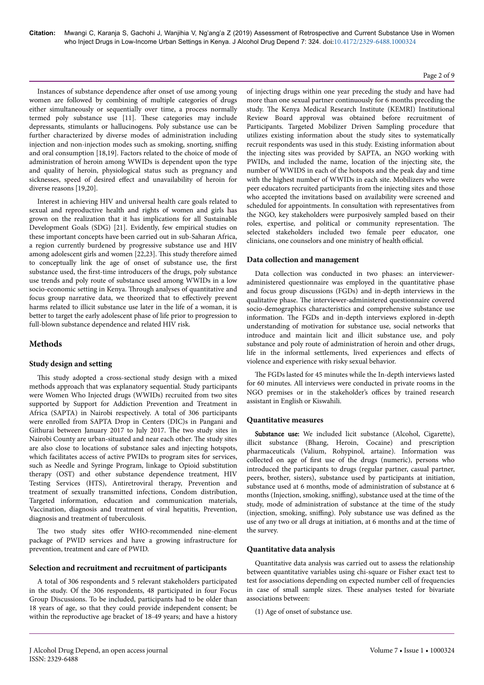Instances of substance dependence after onset of use among young women are followed by combining of multiple categories of drugs either simultaneously or sequentially over time, a process normally termed poly substance use [11]. Нese categories may include depressants, stimulants or hallucinogens. Poly substance use can be further characterized by diverse modes of administration including injection and non-injection modes such as smoking, snorting, sniffing and oral consumption [18,19]. Factors related to the choice of mode of administration of heroin among WWIDs is dependent upon the type and quality of heroin, physiological status such as pregnancy and sicknesses, speed of desired effect and unavailability of heroin for diverse reasons [19,20].

Interest in achieving HIV and universal health care goals related to sexual and reproductive health and rights of women and girls has grown on the realization that it has implications for all Sustainable Development Goals (SDG) [21]. Evidently, few empirical studies on these important concepts have been carried out in sub-Saharan Africa, a region currently burdened by progressive substance use and HIV among adolescent girls and women [22,23]. Нis study therefore aimed to conceptually link the age of onset of substance use, the first substance used, the first-time introducers of the drugs, poly substance use trends and poly route of substance used among WWIDs in a low socio-economic setting in Kenya. Нrough analyses of quantitative and focus group narrative data, we theorized that to effectively prevent harms related to illicit substance use later in the life of a woman, it is better to target the early adolescent phase of life prior to progression to full-blown substance dependence and related HIV risk.

# **Methods**

#### **Study design and setting**

This study adopted a cross-sectional study design with a mixed methods approach that was explanatory sequential. Study participants were Women Who Injected drugs (WWIDs) recruited from two sites supported by Support for Addiction Prevention and Treatment in Africa (SAPTA) in Nairobi respectively. A total of 306 participants were enrolled from SAPTA Drop in Centers (DIC)s in Pangani and Githurai between January 2017 to July 2017. Нe two study sites in Nairobi County are urban-situated and near each other. Нe study sites are also close to locations of substance sales and injecting hotspots, which facilitates access of active PWIDs to program sites for services, such as Needle and Syringe Program, linkage to Opioid substitution therapy (OST) and other substance dependence treatment, HIV Testing Services (HTS), Antiretroviral therapy, Prevention and treatment of sexually transmitted infections, Condom distribution, Targeted information, education and communication materials, Vaccination, diagnosis and treatment of viral hepatitis, Prevention, diagnosis and treatment of tuberculosis.

The two study sites offer WHO-recommended nine-element package of PWID services and have a growing infrastructure for prevention, treatment and care of PWID.

#### **Selection and recruitment and recruitment of participants**

A total of 306 respondents and 5 relevant stakeholders participated in the study. Of the 306 respondents, 48 participated in four Focus Group Discussions. To be included, participants had to be older than 18 years of age, so that they could provide independent consent; be within the reproductive age bracket of 18-49 years; and have a history of injecting drugs within one year preceding the study and have had more than one sexual partner continuously for 6 months preceding the study. Нe Kenya Medical Research Institute (KEMRI) Institutional Review Board approval was obtained before recruitment of Participants. Targeted Mobilizer Driven Sampling procedure that utilizes existing information about the study sites to systematically recruit respondents was used in this study. Existing information about the injecting sites was provided by SAPTA, an NGO working with PWIDs, and included the name, location of the injecting site, the number of WWIDS in each of the hotspots and the peak day and time with the highest number of WWIDs in each site. Mobilizers who were peer educators recruited participants from the injecting sites and those who accepted the invitations based on availability were screened and scheduled for appointments. In consultation with representatives from the NGO, key stakeholders were purposively sampled based on their roles, expertise, and political or community representation. Нe selected stakeholders included two female peer educator, one clinicians, one counselors and one ministry of health official.

#### **Data collection and management**

Data collection was conducted in two phases: an intervieweradministered questionnaire was employed in the quantitative phase and focus group discussions (FGDs) and in-depth interviews in the qualitative phase. Нe interviewer-administered questionnaire covered socio-demographics characteristics and comprehensive substance use information. Нe FGDs and in-depth interviews explored in-depth understanding of motivation for substance use, social networks that introduce and maintain licit and illicit substance use, and poly substance and poly route of administration of heroin and other drugs, life in the informal settlements, lived experiences and effects of violence and experience with risky sexual behavior.

The FGDs lasted for 45 minutes while the In-depth interviews lasted for 60 minutes. All interviews were conducted in private rooms in the NGO premises or in the stakeholder's offices by trained research assistant in English or Kiswahili.

#### **Quantitative measures**

Substance use: We included licit substance (Alcohol, Cigarette), illicit substance (Bhang, Heroin, Cocaine) and prescription pharmaceuticals (Valium, Rohypinol, artaine). Information was collected on age of first use of the drugs (numeric), persons who introduced the participants to drugs (regular partner, casual partner, peers, brother, sisters), substance used by participants at initiation, substance used at 6 months, mode of administration of substance at 6 months (Injection, smoking, sniffing), substance used at the time of the study, mode of administration of substance at the time of the study (injection, smoking, sniffing). Poly substance use was defined as the use of any two or all drugs at initiation, at 6 months and at the time of the survey.

#### **Quantitative data analysis**

Quantitative data analysis was carried out to assess the relationship between quantitative variables using chi-square or Fisher exact test to test for associations depending on expected number cell of frequencies in case of small sample sizes. Нese analyses tested for bivariate associations between:

(1) Age of onset of substance use.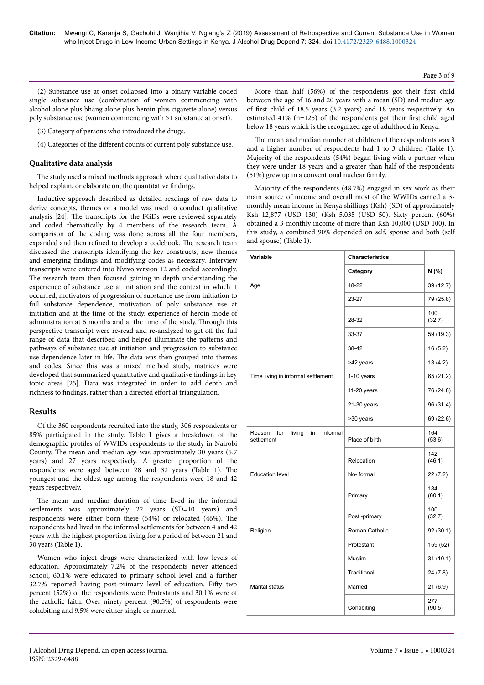(2) Substance use at onset collapsed into a binary variable coded single substance use (combination of women commencing with alcohol alone plus bhang alone plus heroin plus cigarette alone) versus poly substance use (women commencing with >1 substance at onset).

(3) Category of persons who introduced the drugs.

(4) Categories of the different counts of current poly substance use.

#### **Qualitative data analysis**

The study used a mixed methods approach where qualitative data to helped explain, or elaborate on, the quantitative findings.

Inductive approach described as detailed readings of raw data to derive concepts, themes or a model was used to conduct qualitative analysis [24]. Нe transcripts for the FGDs were reviewed separately and coded thematically by 4 members of the research team. A comparison of the coding was done across all the four members, expanded and then refined to develop a codebook. Нe research team discussed the transcripts identifying the key constructs, new themes and emerging findings and modifying codes as necessary. Interview transcripts were entered into Nvivo version 12 and coded accordingly. The research team then focused gaining in-depth understanding the experience of substance use at initiation and the context in which it occurred, motivators of progression of substance use from initiation to full substance dependence, motivation of poly substance use at initiation and at the time of the study, experience of heroin mode of administration at 6 months and at the time of the study. Нrough this perspective transcript were re-read and re-analyzed to get off the full range of data that described and helped illuminate the patterns and pathways of substance use at initiation and progression to substance use dependence later in life. Нe data was then grouped into themes and codes. Since this was a mixed method study, matrices were developed that summarized quantitative and qualitative findings in key topic areas [25]. Data was integrated in order to add depth and richness to findings, rather than a directed effort at triangulation.

#### **Results**

Of the 360 respondents recruited into the study, 306 respondents or 85% participated in the study. Table 1 gives a breakdown of the demographic profiles of WWIDs respondents to the study in Nairobi County. Нe mean and median age was approximately 30 years (5.7 years) and 27 years respectively. A greater proportion of the respondents were aged between 28 and 32 years (Table 1). Нe youngest and the oldest age among the respondents were 18 and 42 years respectively.

The mean and median duration of time lived in the informal settlements was approximately 22 years (SD=10 years) and respondents were either born there (54%) or relocated (46%). Нe respondents had lived in the informal settlements for between 4 and 42 years with the highest proportion living for a period of between 21 and 30 years (Table 1).

Women who inject drugs were characterized with low levels of education. Approximately 7.2% of the respondents never attended school, 60.1% were educated to primary school level and a further  $32.7\%$  reported having post-primary level of education. Fifty two percent (52%) of the respondents were Protestants and 30.1% were of the catholic faith. Over ninety percent (90.5%) of respondents were cohabiting and 9.5% were either single or married.

More than half (56%) of the respondents got their first child between the age of 16 and 20 years with a mean (SD) and median age of first child of 18.5 years (3.2 years) and 18 years respectively. An estimated 41% (n=125) of the respondents got their first child aged below 18 years which is the recognized age of adulthood in Kenya.

The mean and median number of children of the respondents was 3 and a higher number of respondents had 1 to 3 children (Table 1). Majority of the respondents (54%) began living with a partner when they were under 18 years and a greater than half of the respondents (51%) grew up in a conventional nuclear family.

Majority of the respondents (48.7%) engaged in sex work as their main source of income and overall most of the WWIDs earned a 3 monthly mean income in Kenya shillings (Ksh) (SD) of approximately Ksh 12,877 (USD 130) (Ksh 5,035 (USD 50). Sixty percent (60%) obtained a 3-monthly income of more than Ksh 10,000 (USD 100). In this study, a combined 90% depended on self, spouse and both (self and spouse) (Table 1).

| Variable                                                | <b>Characteristics</b> |               |
|---------------------------------------------------------|------------------------|---------------|
|                                                         | Category               | N (%)         |
| Age                                                     | 18-22                  | 39 (12.7)     |
|                                                         | 23-27                  | 79 (25.8)     |
|                                                         | 28-32                  | 100<br>(32.7) |
|                                                         | 33-37                  | 59 (19.3)     |
|                                                         | 38-42                  | 16(5.2)       |
|                                                         | >42 years              | 13 (4.2)      |
| Time living in informal settlement                      | $1-10$ years           | 65 (21.2)     |
|                                                         | 11-20 years            | 76 (24.8)     |
|                                                         | 21-30 years            | 96 (31.4)     |
|                                                         | >30 years              | 69 (22.6)     |
| Reason<br>living<br>informal<br>for<br>in<br>settlement | Place of birth         | 164<br>(53.6) |
|                                                         | Relocation             | 142<br>(46.1) |
| <b>Education level</b>                                  | No-formal              | 22(7.2)       |
|                                                         | Primary                | 184<br>(60.1) |
|                                                         | Post -primary          | 100<br>(32.7) |
| Religion                                                | Roman Catholic         | 92 (30.1)     |
|                                                         | Protestant             | 159 (52)      |
|                                                         | <b>Muslim</b>          | 31 (10.1)     |
|                                                         | Traditional            | 24 (7.8)      |
| Marital status                                          | Married                | 21(6.9)       |
|                                                         | Cohabiting             | 277<br>(90.5) |

Page 3 of 9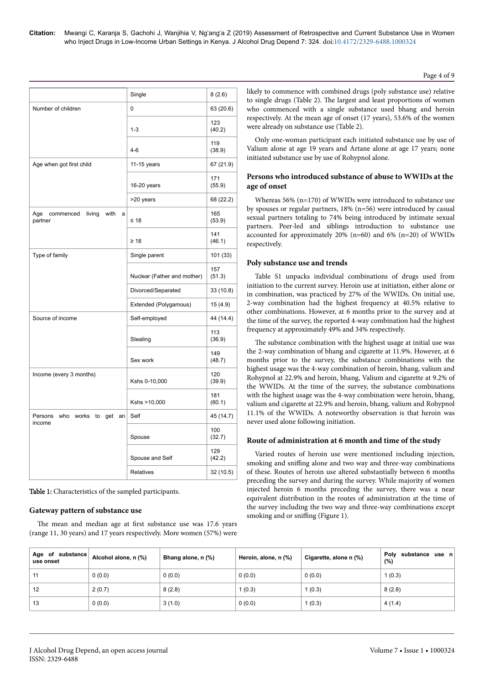|                                                    | Single                      | 8(2.6)        |
|----------------------------------------------------|-----------------------------|---------------|
| Number of children                                 | 0                           | 63 (20.6)     |
|                                                    | $1 - 3$                     | 123<br>(40.2) |
|                                                    | $4-6$                       | 119<br>(38.9) |
| Age when got first child                           | 11-15 years                 | 67 (21.9)     |
|                                                    | 16-20 years                 | 171<br>(55.9) |
|                                                    | >20 years                   | 68 (22.2)     |
| Age<br>living<br>with<br>commenced<br>a<br>partner | $≤ 18$                      | 165<br>(53.9) |
|                                                    | $\geq 18$                   | 141<br>(46.1) |
| Type of family                                     | Single parent               | 101 (33)      |
|                                                    | Nuclear (Father and mother) | 157<br>(51.3) |
|                                                    | Divorced/Separated          | 33 (10.8)     |
|                                                    | Extended (Polygamous)       | 15 (4.9)      |
| Source of income                                   | Self-employed               | 44 (14.4)     |
|                                                    | Stealing                    | 113<br>(36.9) |
|                                                    | Sex work                    | 149<br>(48.7) |
| Income (every 3 months)                            | Kshs 0-10,000               | 120<br>(39.9) |
|                                                    | Kshs >10,000                | 181<br>(60.1) |
| who works to get<br>Persons<br>an                  | Self                        | 45 (14.7)     |
| income                                             | Spouse                      | 100<br>(32.7) |
|                                                    | Spouse and Self             | 129<br>(42.2) |
|                                                    | Relatives                   | 32 (10.5)     |

Table 1: Characteristics of the sampled participants.

#### **Gateway pattern of substance use**

The mean and median age at first substance use was 17.6 years (range 11, 30 years) and 17 years respectively. More women (57%) were

likely to commence with combined drugs (poly substance use) relative to single drugs (Table 2). Нe largest and least proportions of women who commenced with a single substance used bhang and heroin respectively. At the mean age of onset (17 years), 53.6% of the women were already on substance use (Table 2).

Only one-woman participant each initiated substance use by use of Valium alone at age 19 years and Artane alone at age 17 years; none initiated substance use by use of Rohypnol alone.

## **Persons who introduced substance of abuse to WWIDs at the age of onset**

Whereas 56% (n=170) of WWIDs were introduced to substance use by spouses or regular partners, 18% (n=56) were introduced by casual sexual partners totaling to 74% being introduced by intimate sexual partners. Peer-led and siblings introduction to substance use accounted for approximately  $20\%$  (n=60) and 6% (n=20) of WWIDs respectively.

## **Poly substance use and trends**

Table S1 unpacks individual combinations of drugs used from initiation to the current survey. Heroin use at initiation, either alone or in combination, was practiced by 27% of the WWIDs. On initial use, 2-way combination had the highest frequency at 40.5% relative to other combinations. However, at 6 months prior to the survey and at the time of the survey, the reported 4-way combination had the highest frequency at approximately 49% and 34% respectively.

The substance combination with the highest usage at initial use was the 2-way combination of bhang and cigarette at 11.9%. However, at 6 months prior to the survey, the substance combinations with the highest usage was the 4-way combination of heroin, bhang, valium and Rohypnol at 22.9% and heroin, bhang, Valium and cigarette at 9.2% of the WWIDs. At the time of the survey, the substance combinations with the highest usage was the 4-way combination were heroin, bhang, valium and cigarette at 22.9% and heroin, bhang, valium and Rohypnol 11.1% of the WWIDs. A noteworthy observation is that heroin was never used alone following initiation.

#### **Route of administration at 6 month and time of the study**

Varied routes of heroin use were mentioned including injection, smoking and sniffing alone and two way and three-way combinations of these. Routes of heroin use altered substantially between 6 months preceding the survey and during the survey. While majority of women injected heroin 6 months preceding the survey, there was a near equivalent distribution in the routes of administration at the time of the survey including the two way and three-way combinations except smoking and or sniffing (Figure 1).

| Age of substance<br>use onset | Alcohol alone, n (%) | Bhang alone, n (%) | Heroin, alone, n (%) | Cigarette, alone n (%) | substance use n<br>Polv<br>(%) |
|-------------------------------|----------------------|--------------------|----------------------|------------------------|--------------------------------|
| 11                            | 0(0.0)               | 0(0.0)             | 0(0.0)               | 0(0.0)                 | 1(0.3)                         |
| 12                            | 2(0.7)               | 8(2.8)             | 1(0.3)               | 1(0.3)                 | 8(2.8)                         |
| 13                            | 0(0.0)               | 3(1.0)             | 0(0.0)               | 1(0.3)                 | 4(1.4)                         |

Page 4 of 9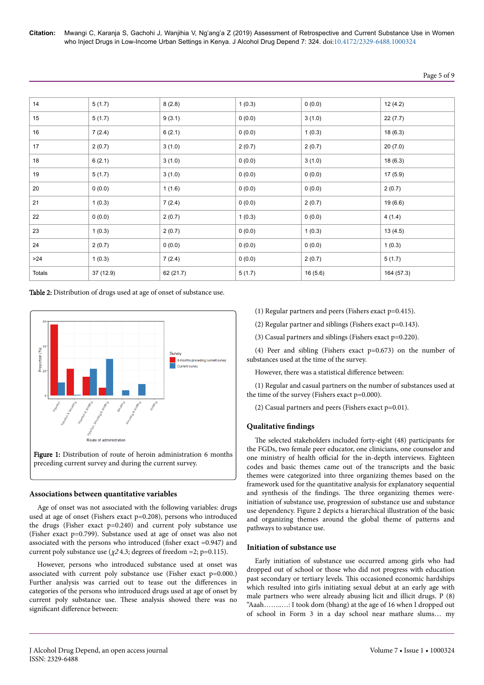**Citation:** Mwangi C, Karanja S, Gachohi J, Wanjihia V, Ng'ang'a Z (2019) Assessment of Retrospective and Current Substance Use in Women who Inject Drugs in Low-Income Urban Settings in Kenya. J Alcohol Drug Depend 7: 324. doi:10.4172/2329-6488.1000324

| Page 5 of 9 |  |  |  |
|-------------|--|--|--|
|-------------|--|--|--|

| 14     | 5(1.7)    | 8(2.8)    | 1(0.3) | 0(0.0)  | 12(4.2)    |
|--------|-----------|-----------|--------|---------|------------|
| 15     | 5(1.7)    | 9(3.1)    | 0(0.0) | 3(1.0)  | 22(7.7)    |
| 16     | 7(2.4)    | 6(2.1)    | 0(0.0) | 1(0.3)  | 18(6.3)    |
| 17     | 2(0.7)    | 3(1.0)    | 2(0.7) | 2(0.7)  | 20(7.0)    |
| 18     | 6(2.1)    | 3(1.0)    | 0(0.0) | 3(1.0)  | 18(6.3)    |
| 19     | 5(1.7)    | 3(1.0)    | 0(0.0) | 0(0.0)  | 17(5.9)    |
| 20     | 0(0.0)    | 1(1.6)    | 0(0.0) | 0(0.0)  | 2(0.7)     |
| 21     | 1(0.3)    | 7(2.4)    | 0(0.0) | 2(0.7)  | 19 (6.6)   |
| 22     | 0(0.0)    | 2(0.7)    | 1(0.3) | 0(0.0)  | 4(1.4)     |
| 23     | 1(0.3)    | 2(0.7)    | 0(0.0) | 1(0.3)  | 13(4.5)    |
| 24     | 2(0.7)    | 0(0.0)    | 0(0.0) | 0(0.0)  | 1(0.3)     |
| >24    | 1(0.3)    | 7(2.4)    | 0(0.0) | 2(0.7)  | 5(1.7)     |
| Totals | 37 (12.9) | 62 (21.7) | 5(1.7) | 16(5.6) | 164 (57.3) |

Table 2: Distribution of drugs used at age of onset of substance use.



#### **Associations between quantitative variables**

Age of onset was not associated with the following variables: drugs used at age of onset (Fishers exact p=0.208), persons who introduced the drugs (Fisher exact p=0.240) and current poly substance use (Fisher exact p=0.799). Substance used at age of onset was also not associated with the persons who introduced (fisher exact =0.947) and current poly substance use ( $\chi$ 24.3; degrees of freedom =2; p=0.115).

However, persons who introduced substance used at onset was associated with current poly substance use (Fisher exact p=0.000.) Further analysis was carried out to tease out the differences in categories of the persons who introduced drugs used at age of onset by current poly substance use. Нese analysis showed there was no significant difference between:

- (1) Regular partners and peers (Fishers exact p=0.415).
- (2) Regular partner and siblings (Fishers exact p=0.143).
- (3) Casual partners and siblings (Fishers exact p=0.220).

(4) Peer and sibling (Fishers exact p=0.673) on the number of substances used at the time of the survey.

However, there was a statistical difference between:

(1) Regular and casual partners on the number of substances used at the time of the survey (Fishers exact p=0.000).

(2) Casual partners and peers (Fishers exact p=0.01).

#### **Qualitative findings**

The selected stakeholders included forty-eight (48) participants for the FGDs, two female peer educator, one clinicians, one counselor and one ministry of health official for the in-depth interviews. Eighteen codes and basic themes came out of the transcripts and the basic themes were categorized into three organizing themes based on the framework used for the quantitative analysis for explanatory sequential and synthesis of the findings. Нe three organizing themes wereinitiation of substance use, progression of substance use and substance use dependency. Figure 2 depicts a hierarchical illustration of the basic and organizing themes around the global theme of patterns and pathways to substance use.

#### **Initiation of substance use**

Early initiation of substance use occurred among girls who had dropped out of school or those who did not progress with education past secondary or tertiary levels. Нis occasioned economic hardships which resulted into girls initiating sexual debut at an early age with male partners who were already abusing licit and illicit drugs. P (8) "Aaah……..…: I took dom (bhang) at the age of 16 when I dropped out of school in Form 3 in a day school near mathare slums… my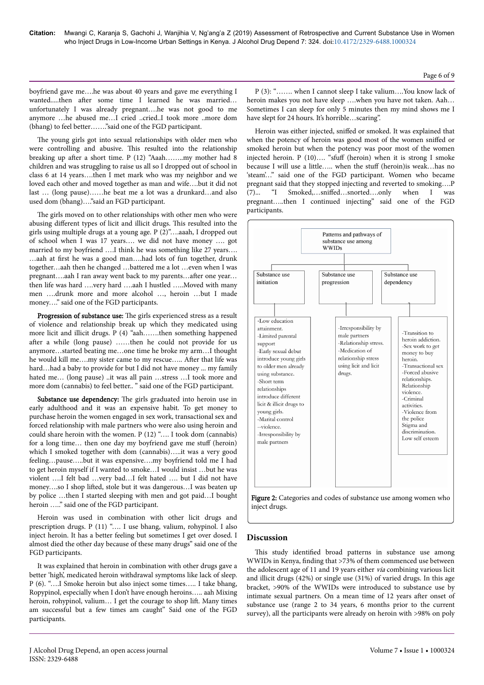boyfriend gave me….he was about 40 years and gave me everything I wanted.....then after some time I learned he was married... unfortunately I was already pregnant….he was not good to me anymore ...he abused me...I cried ..cried..I took more ..more dom (bhang) to feel better……."said one of the FGD participant.

The young girls got into sexual relationships with older men who were controlling and abusive. Нis resulted into the relationship breaking up after a short time. P (12) "Aaah........my mother had 8 children and was struggling to raise us all so I dropped out of school in class 6 at 14 years….then I met mark who was my neighbor and we loved each other and moved together as man and wife….but it did not last … (long pause)……he beat me a lot was a drunkard…and also used dom (bhang)…."said an FGD participant.

The girls moved on to other relationships with other men who were abusing different types of licit and illicit drugs. This resulted into the girls using multiple drugs at a young age. P (2)"….aaah, I dropped out of school when I was 17 years…. we did not have money …. got married to my boyfriend ….I think he was something like 27 years…. …aah at first he was a good man….had lots of fun together, drunk together…aah then he changed …battered me a lot …even when I was pregnant….aah I ran away went back to my parents…after one year… then life was hard ….very hard ….aah I hustled …..Moved with many men ….drunk more and more alcohol …, heroin …but I made money…." said one of the FGD participants.

Progression of substance use: The girls experienced stress as a result of violence and relationship break up which they medicated using more licit and illicit drugs. P (4) "aah…….then something happened after a while (long pause) ……then he could not provide for us anymore…started beating me…one time he broke my arm…I thought he would kill me....my sister came to my rescue..... After that life was hard…had a baby to provide for but I did not have money ... my family hated me… (long pause) ..it was all pain …stress …I took more and more dom (cannabis) to feel better.. " said one of the FGD participant.

Substance use dependency: The girls graduated into heroin use in early adulthood and it was an expensive habit. To get money to purchase heroin the women engaged in sex work, transactional sex and forced relationship with male partners who were also using heroin and could share heroin with the women. P (12) "…. I took dom (cannabis) for a long time... then one day my boyfriend gave me stuff (heroin) which I smoked together with dom (cannabis)…..it was a very good feeling…pause…..but it was expensive….my boyfriend told me I had to get heroin myself if I wanted to smoke…I would insist …but he was violent ….I felt bad …very bad…I felt hated …. but I did not have money....so I shop lifted, stole but it was dangerous...I was beaten up by police …then I started sleeping with men and got paid…I bought heroin ….." said one of the FGD participant.

Heroin was used in combination with other licit drugs and prescription drugs. P (11) "…. I use bhang, valium, rohypinol. I also inject heroin. It has a better feeling but sometimes I get over dosed. I almost died the other day because of these many drugs" said one of the FGD participants.

It was explained that heroin in combination with other drugs gave a better 'high', medicated heroin withdrawal symptoms like lack of sleep. P (6). "….I Smoke heroin but also inject some times….. I take bhang, Ropypinol, especially when I don't have enough heroins….. aah Mixing heroin, rohypinol, valium... I get the courage to shop lift. Many times am successful but a few times am caught" Said one of the FGD participants.

heroin makes you not have sleep ….when you have not taken. Aah… Sometimes I can sleep for only 5 minutes then my mind shows me I have slept for 24 hours. It's horrible...scaring". Heroin was either injected, sniffed or smoked. It was explained that when the potency of heroin was good most of the women sniffed or

smoked heroin but when the potency was poor most of the women injected heroin. P  $(10)$ .... "sfuff (heroin) when it is strong I smoke because I will use a little….. when the stuff (heroin) is weak…has no 'steam'…" said one of the FGD participant. Women who became pregnant said that they stopped injecting and reverted to smoking….P (7)... "I Smoked,...sniffed...snorted....only when I was pregnant…..then I continued injecting" said one of the FGD participants.

P (3): "……. when I cannot sleep I take valium….You know lack of





# **Discussion**

This study identified broad patterns in substance use among WWIDs in Kenya, finding that >73% of them commenced use between the adolescent age of 11 and 19 years either via combining various licit and illicit drugs (42%) or single use (31%) of varied drugs. In this age bracket, >90% of the WWIDs were introduced to substance use by intimate sexual partners. On a mean time of 12 years after onset of substance use (range 2 to 34 years, 6 months prior to the current survey), all the participants were already on heroin with >98% on poly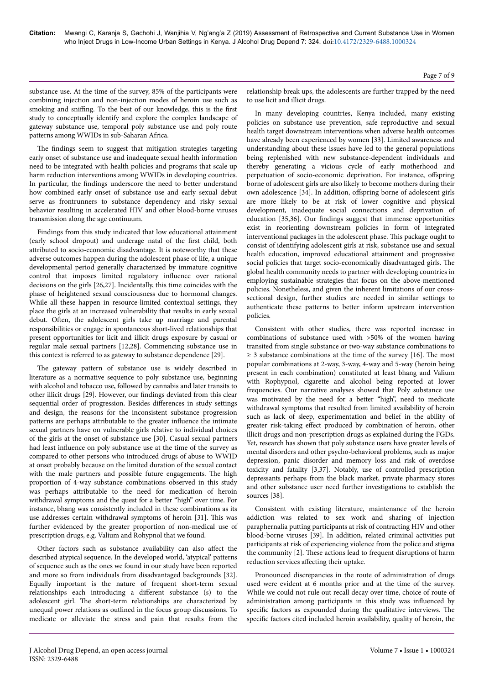substance use. At the time of the survey, 85% of the participants were combining injection and non-injection modes of heroin use such as smoking and sniffing. To the best of our knowledge, this is the first study to conceptually identify and explore the complex landscape of gateway substance use, temporal poly substance use and poly route patterns among WWIDs in sub-Saharan Africa.

The findings seem to suggest that mitigation strategies targeting early onset of substance use and inadequate sexual health information need to be integrated with health policies and programs that scale up harm reduction interventions among WWIDs in developing countries. In particular, the findings underscore the need to better understand how combined early onset of substance use and early sexual debut serve as frontrunners to substance dependency and risky sexual behavior resulting in accelerated HIV and other blood-borne viruses transmission along the age continuum.

Findings from this study indicated that low educational attainment (early school dropout) and underage natal of the first child, both attributed to socio-economic disadvantage. It is noteworthy that these adverse outcomes happen during the adolescent phase of life, a unique developmental period generally characterized by immature cognitive control that imposes limited regulatory influence over rational decisions on the girls [26,27]. Incidentally, this time coincides with the phase of heightened sexual consciousness due to hormonal changes. While all these happen in resource-limited contextual settings, they place the girls at an increased vulnerability that results in early sexual debut. Often, the adolescent girls take up marriage and parental responsibilities or engage in spontaneous short-lived relationships that present opportunities for licit and illicit drugs exposure by casual or regular male sexual partners [12,28]. Commencing substance use in this context is referred to as gateway to substance dependence [29].

The gateway pattern of substance use is widely described in literature as a normative sequence to poly substance use, beginning with alcohol and tobacco use, followed by cannabis and later transits to other illicit drugs [29]. However, our findings deviated from this clear sequential order of progression. Besides differences in study settings and design, the reasons for the inconsistent substance progression patterns are perhaps attributable to the greater influence the intimate sexual partners have on vulnerable girls relative to individual choices of the girls at the onset of substance use [30]. Casual sexual partners had least influence on poly substance use at the time of the survey as compared to other persons who introduced drugs of abuse to WWID at onset probably because on the limited duration of the sexual contact with the male partners and possible future engagements. Нe high proportion of 4-way substance combinations observed in this study was perhaps attributable to the need for medication of heroin withdrawal symptoms and the quest for a better "high" over time. For instance, bhang was consistently included in these combinations as its use addresses certain withdrawal symptoms of heroin [31]. Нis was further evidenced by the greater proportion of non-medical use of prescription drugs, e.g. Valium and Rohypnol that we found.

Other factors such as substance availability can also affect the described atypical sequence. In the developed world, 'atypical' patterns of sequence such as the ones we found in our study have been reported and more so from individuals from disadvantaged backgrounds [32]. Equally important is the nature of frequent short-term sexual relationships each introducing a different substance (s) to the adolescent girl. Нe short-term relationships are characterized by unequal power relations as outlined in the focus group discussions. To medicate or alleviate the stress and pain that results from the relationship break ups, the adolescents are further trapped by the need to use licit and illicit drugs.

In many developing countries, Kenya included, many existing policies on substance use prevention, safe reproductive and sexual health target downstream interventions when adverse health outcomes have already been experienced by women [33]. Limited awareness and understanding about these issues have led to the general populations being replenished with new substance-dependent individuals and thereby generating a vicious cycle of early motherhood and perpetuation of socio-economic deprivation. For instance, offspring borne of adolescent girls are also likely to become mothers during their own adolescence [34]. In addition, offspring borne of adolescent girls are more likely to be at risk of lower cognitive and physical development, inadequate social connections and deprivation of education [35,36]. Our findings suggest that immense opportunities exist in reorienting downstream policies in form of integrated interventional packages in the adolescent phase. Нis package ought to consist of identifying adolescent girls at risk, substance use and sexual health education, improved educational attainment and progressive social policies that target socio-economically disadvantaged girls. Нe global health community needs to partner with developing countries in employing sustainable strategies that focus on the above-mentioned policies. Nonetheless, and given the inherent limitations of our crosssectional design, further studies are needed in similar settings to authenticate these patterns to better inform upstream intervention policies.

Consistent with other studies, there was reported increase in combinations of substance used with >50% of the women having transited from single substance or two-way substance combinations to  $\geq$  3 substance combinations at the time of the survey [16]. The most popular combinations at 2-way, 3-way, 4-way and 5-way (heroin being present in each combination) constituted at least bhang and Valium with Rophypnol, cigarette and alcohol being reported at lower frequencies. Our narrative analyses showed that Poly substance use was motivated by the need for a better "high", need to medicate withdrawal symptoms that resulted from limited availability of heroin such as lack of sleep, experimentation and belief in the ability of greater risk-taking effect produced by combination of heroin, other illicit drugs and non-prescription drugs as explained during the FGDs. Yet, research has shown that poly substance users have greater levels of mental disorders and other psycho-behavioral problems, such as major depression, panic disorder and memory loss and risk of overdose toxicity and fatality [3,37]. Notably, use of controlled prescription depressants perhaps from the black market, private pharmacy stores and other substance user need further investigations to establish the sources [38].

Consistent with existing literature, maintenance of the heroin addiction was related to sex work and sharing of injection paraphernalia putting participants at risk of contracting HIV and other blood-borne viruses [39]. In addition, related criminal activities put participants at risk of experiencing violence from the police and stigma the community [2]. Нese actions lead to frequent disruptions of harm reduction services affecting their uptake.

Pronounced discrepancies in the route of administration of drugs used were evident at 6 months prior and at the time of the survey. While we could not rule out recall decay over time, choice of route of administration among participants in this study was influenced by specific factors as expounded during the qualitative interviews. Нe specific factors cited included heroin availability, quality of heroin, the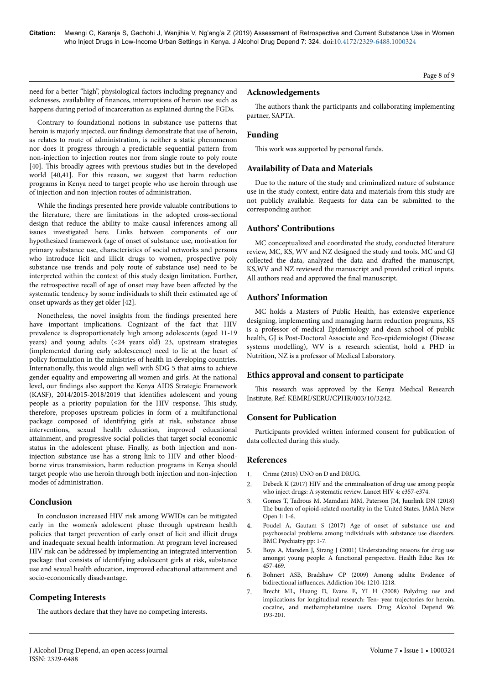need for a better "high", physiological factors including pregnancy and sicknesses, availability of finances, interruptions of heroin use such as happens during period of incarceration as explained during the FGDs.

Contrary to foundational notions in substance use patterns that heroin is majorly injected, our findings demonstrate that use of heroin, as relates to route of administration, is neither a static phenomenon nor does it progress through a predictable sequential pattern from non-injection to injection routes nor from single route to poly route [40]. Нis broadly agrees with previous studies but in the developed world [40,41]. For this reason, we suggest that harm reduction programs in Kenya need to target people who use heroin through use of injection and non-injection routes of administration.

While the findings presented here provide valuable contributions to the literature, there are limitations in the adopted cross-sectional design that reduce the ability to make causal inferences among all issues investigated here. Links between components of our hypothesized framework (age of onset of substance use, motivation for primary substance use, characteristics of social networks and persons who introduce licit and illicit drugs to women, prospective poly substance use trends and poly route of substance use) need to be interpreted within the context of this study design limitation. Further, the retrospective recall of age of onset may have been affected by the systematic tendency by some individuals to shift their estimated age of onset upwards as they get older [42].

Nonetheless, the novel insights from the findings presented here have important implications. Cognizant of the fact that HIV prevalence is disproportionately high among adolescents (aged 11-19 years) and young adults (<24 years old) 23, upstream strategies (implemented during early adolescence) need to lie at the heart of policy formulation in the ministries of health in developing countries. Internationally, this would align well with SDG 5 that aims to achieve gender equality and empowering all women and girls. At the national level, our findings also support the Kenya AIDS Strategic Framework (KASF), 2014/2015-2018/2019 that identifies adolescent and young people as a priority population for the HIV response. Нis study, therefore, proposes upstream policies in form of a multifunctional package composed of identifying girls at risk, substance abuse interventions, sexual health education, improved educational attainment, and progressive social policies that target social economic status in the adolescent phase. Finally, as both injection and noninjection substance use has a strong link to HIV and other bloodborne virus transmission, harm reduction programs in Kenya should target people who use heroin through both injection and non-injection modes of administration.

# **Conclusion**

In conclusion increased HIV risk among WWIDs can be mitigated early in the women's adolescent phase through upstream health policies that target prevention of early onset of licit and illicit drugs and inadequate sexual health information. At program level increased HIV risk can be addressed by implementing an integrated intervention package that consists of identifying adolescent girls at risk, substance use and sexual health education, improved educational attainment and socio-economically disadvantage.

# **Competing Interests**

The authors declare that they have no competing interests.

# **Acknowledgements**

The authors thank the participants and collaborating implementing partner, SAPTA.

# **Funding**

This work was supported by personal funds.

# **Availability of Data and Materials**

Due to the nature of the study and criminalized nature of substance use in the study context, entire data and materials from this study are not publicly available. Requests for data can be submitted to the corresponding author.

# **Authors' Contributions**

MC conceptualized and coordinated the study, conducted literature review, MC, KS, WV and NZ designed the study and tools. MC and GJ collected the data, analyzed the data and drafted the manuscript, KS,WV and NZ reviewed the manuscript and provided critical inputs. All authors read and approved the final manuscript.

# **Authors' Information**

MC holds a Masters of Public Health, has extensive experience designing, implementing and managing harm reduction programs, KS is a professor of medical Epidemiology and dean school of public health, GJ is Post-Doctoral Associate and Eco-epidemiologist (Disease systems modelling), WV is a research scientist, hold a PHD in Nutrition, NZ is a professor of Medical Laboratory.

# **Ethics approval and consent to participate**

This research was approved by the Kenya Medical Research Institute, Ref: KEMRI/SERU/CPHR/003/10/3242.

# **Consent for Publication**

Participants provided written informed consent for publication of data collected during this study.

# **References**

- 1. Crime (2016) UNO on D and DRUG.
- 2. Debeck K (2017) HIV and the criminalisation of drug use among people who inject drugs: A systematic review. Lancet HIV 4: e357-e374.
- 3. Gomes T, Tadrous M, Mamdani MM, Paterson JM, Juurlink DN (2018) The burden of opioid-related mortality in the United States. JAMA Netw Open 1: 1-6.
- 4. [Poudel A, Gautam S \(2017\) Age of onset of substance use and](https://dx.doi.org/10.1186/s12888-016-1191-0) [psychosocial problems among individuals with substance use disorders.](https://dx.doi.org/10.1186/s12888-016-1191-0) [BMC Psychiatry pp: 1-7.](https://dx.doi.org/10.1186/s12888-016-1191-0)
- 5. Boys A, Marsden J, Strang J (2001) Understanding reasons for drug use amongst young people: A functional perspective. Health Educ Res 16: 457-469.
- 6. Bohnert ASB, Bradshaw CP (2009) Among adults: Evidence of bidirectional influences. Addiction 104: 1210-1218.
- 7. Brecht ML, Huang D, Evans E, YI H (2008) Polydrug use and implications for longitudinal research: Ten- year trajectories for heroin, cocaine, and methamphetamine users. Drug Alcohol Depend 96: 193-201.